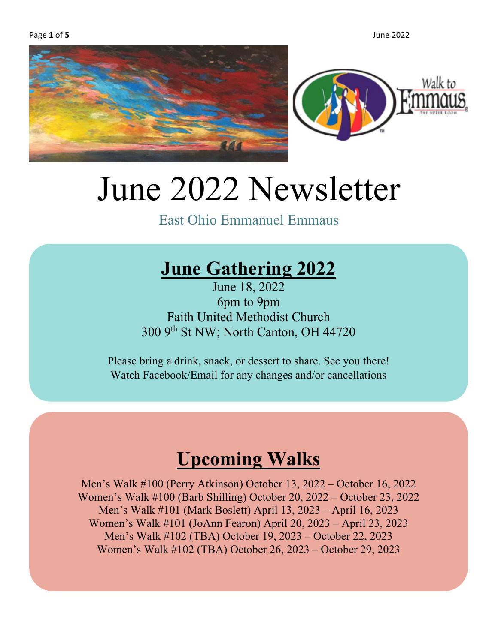



# June 2022 Newsletter

East Ohio Emmanuel Emmaus

### **June Gathering 2022**

June 18, 2022 6pm to 9pm Faith United Methodist Church 300 9th St NW; North Canton, OH 44720

Please bring a drink, snack, or dessert to share. See you there! Watch Facebook/Email for any changes and/or cancellations

### **Upcoming Walks**

Men's Walk #100 (Perry Atkinson) October 13, 2022 – October 16, 2022 Women's Walk #100 (Barb Shilling) October 20, 2022 – October 23, 2022 Men's Walk #101 (Mark Boslett) April 13, 2023 – April 16, 2023 Women's Walk #101 (JoAnn Fearon) April 20, 2023 – April 23, 2023 Men's Walk #102 (TBA) October 19, 2023 – October 22, 2023 Women's Walk #102 (TBA) October 26, 2023 – October 29, 2023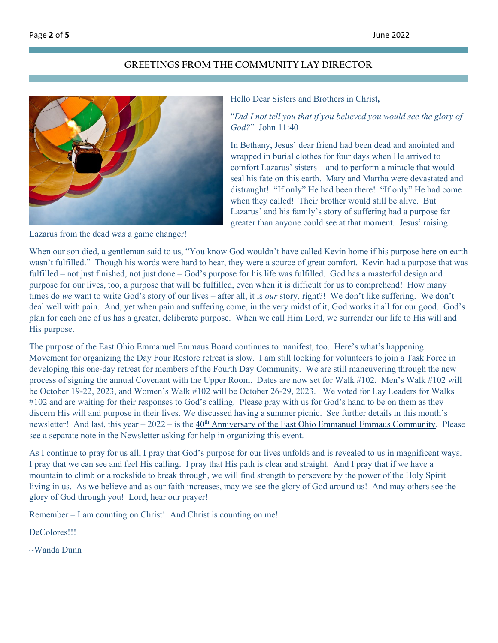#### **GREETINGS FROM THE COMMUNITY LAY DIRECTOR**



Lazarus from the dead was a game changer!

#### Hello Dear Sisters and Brothers in Christ**,**

#### "*Did I not tell you that if you believed you would see the glory of God?*" John 11:40

In Bethany, Jesus' dear friend had been dead and anointed and wrapped in burial clothes for four days when He arrived to comfort Lazarus' sisters – and to perform a miracle that would seal his fate on this earth. Mary and Martha were devastated and distraught! "If only" He had been there! "If only" He had come when they called! Their brother would still be alive. But Lazarus' and his family's story of suffering had a purpose far greater than anyone could see at that moment. Jesus' raising

When our son died, a gentleman said to us, "You know God wouldn't have called Kevin home if his purpose here on earth wasn't fulfilled." Though his words were hard to hear, they were a source of great comfort. Kevin had a purpose that was fulfilled – not just finished, not just done – God's purpose for his life was fulfilled. God has a masterful design and purpose for our lives, too, a purpose that will be fulfilled, even when it is difficult for us to comprehend! How many times do *we* want to write God's story of our lives – after all, it is *our* story, right?! We don't like suffering. We don't deal well with pain. And, yet when pain and suffering come, in the very midst of it, God works it all for our good. God's plan for each one of us has a greater, deliberate purpose. When we call Him Lord, we surrender our life to His will and His purpose.

The purpose of the East Ohio Emmanuel Emmaus Board continues to manifest, too. Here's what's happening: Movement for organizing the Day Four Restore retreat is slow. I am still looking for volunteers to join a Task Force in developing this one-day retreat for members of the Fourth Day Community. We are still maneuvering through the new process of signing the annual Covenant with the Upper Room. Dates are now set for Walk #102. Men's Walk #102 will be October 19-22, 2023, and Women's Walk #102 will be October 26-29, 2023. We voted for Lay Leaders for Walks #102 and are waiting for their responses to God's calling. Please pray with us for God's hand to be on them as they discern His will and purpose in their lives. We discussed having a summer picnic. See further details in this month's newsletter! And last, this year  $-2022 -$  is the  $40<sup>th</sup>$  Anniversary [of the East Ohio Emmanuel Emmaus Community.](#page-3-0) Please see a separate note in the Newsletter asking for help in organizing this event.

As I continue to pray for us all, I pray that God's purpose for our lives unfolds and is revealed to us in magnificent ways. I pray that we can see and feel His calling. I pray that His path is clear and straight. And I pray that if we have a mountain to climb or a rockslide to break through, we will find strength to persevere by the power of the Holy Spirit living in us. As we believe and as our faith increases, may we see the glory of God around us! And may others see the glory of God through you! Lord, hear our prayer!

Remember – I am counting on Christ! And Christ is counting on me!

DeColores!!!

~Wanda Dunn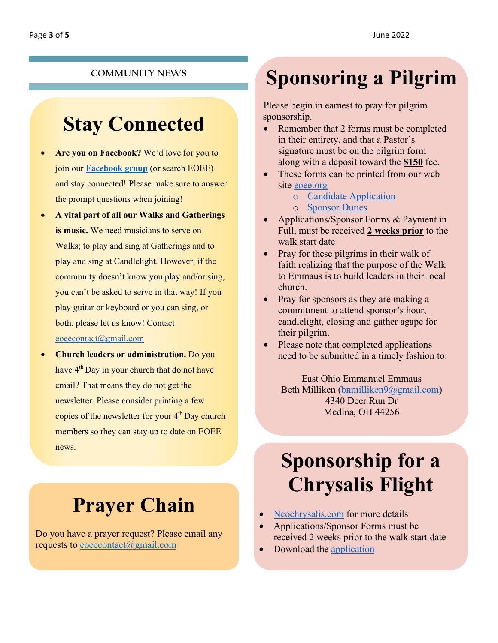#### **COMMUNITY NEWS**

### **Stay Connected**

- **Are you on Facebook?** We'd love for you to join our **[Facebook group](https://www.facebook.com/groups/156829334371915/)** (or search EOEE) and stay connected! Please make sure to answer the prompt questions when joining!
- **A vital part of all our Walks and Gatherings is music.** We need musicians to serve on Walks; to play and sing at Gatherings and to play and sing at Candlelight. However, if the community doesn't know you play and/or sing, you can't be asked to serve in that way! If you play guitar or keyboard or you can sing, or both, please let us know! Contact [eoeecontact@gmail.com](mailto:eoeecontact@gmail.com?subject=I)
- **Church leaders or administration.** Do you have 4<sup>th</sup> Day in your church that do not have email? That means they do not get the newsletter. Please consider printing a few copies of the newsletter for your  $4<sup>th</sup>$  Day church members so they can stay up to date on EOEE news.

# **Prayer Chain**

Do you have a prayer request? Please email any requests to [eoeecontact@gmail.com](mailto:eoeecontact@gmail.com?subject=Prayer%20Request)

# **Sponsoring a Pilgrim**

Please begin in earnest to pray for pilgrim sponsorship.

- Remember that 2 forms must be completed in their entirety, and that a Pastor's signature must be on the pilgrim form along with a deposit toward the **\$150** fee.
- These forms can be printed from our web site [eoee.org](http://www.eoee.org/)
	- o Candidate [Application](https://77cb134a-fdf5-4731-9af9-8fe751229ba9.filesusr.com/ugd/4803f5_97d564288304489cb8f17ce6f12b05df.docx?dn=EOEE%20Sponsor%20Form.docx)
	- o [Sponsor](https://77cb134a-fdf5-4731-9af9-8fe751229ba9.filesusr.com/ugd/4803f5_67cf23dd6e8849d08ba9a07ce2e0be83.pdf) Duties
- Applications/Sponsor Forms & Payment in Full, must be received **2 weeks prior** to the walk start date
- Pray for these pilgrims in their walk of faith realizing that the purpose of the Walk to Emmaus is to build leaders in their local church.
- Pray for sponsors as they are making a commitment to attend sponsor's hour, candlelight, closing and gather agape for their pilgrim.
- Please note that completed applications need to be submitted in a timely fashion to:

East Ohio Emmanuel Emmaus Beth Milliken [\(bnmilliken9@gmail.com\)](mailto:bnmilliken9@gmail.com?subject=Pilgrim%20Candidate) 4340 Deer Run Dr Medina, OH 44256

# **Sponsorship for a Chrysalis Flight**

- [Neochrysalis.com](http://www.neochrysalis.com/) for more details
- Applications/Sponsor Forms must be received 2 weeks prior to the walk start date
- Download the [application](http://nebula.wsimg.com/ccd2adb353a8bbfae3cb938edd22a5f3?AccessKeyId=B9035177263C5CE288B0&disposition=0&alloworigin=1)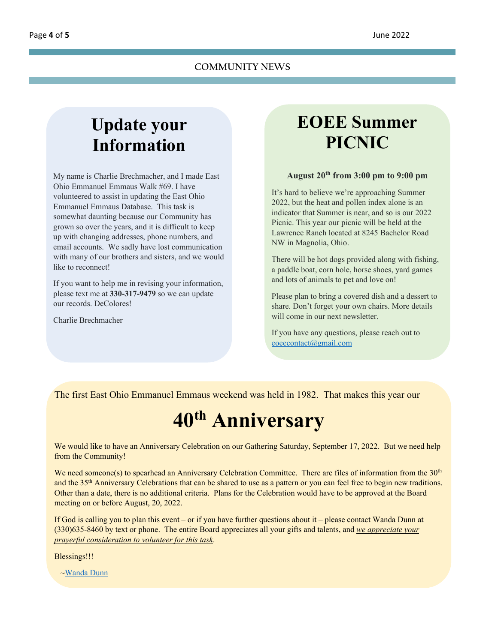#### **Update your Information**

My name is Charlie Brechmacher, and I made East Ohio Emmanuel Emmaus Walk #69. I have volunteered to assist in updating the East Ohio Emmanuel Emmaus Database. This task is somewhat daunting because our Community has grown so over the years, and it is difficult to keep up with changing addresses, phone numbers, and email accounts. We sadly have lost communication with many of our brothers and sisters, and we would like to reconnect!

If you want to help me in revising your information, please text me at **330-317-9479** so we can update our records. DeColores!

Charlie Brechmacher

#### **EOEE Summer PICNIC**

#### **August 20th from 3:00 pm to 9:00 pm**

It's hard to believe we're approaching Summer 2022, but the heat and pollen index alone is an indicator that Summer is near, and so is our 2022 Picnic. This year our picnic will be held at the Lawrence Ranch located at 8245 Bachelor Road NW in Magnolia, Ohio.

There will be hot dogs provided along with fishing, a paddle boat, corn hole, horse shoes, yard games and lots of animals to pet and love on!

Please plan to bring a covered dish and a dessert to share. Don't forget your own chairs. More details will come in our next newsletter.

If you have any questions, please reach out to [eoeecontact@gmail.com](mailto:eoeecontact@gmail.com?subject=Picnic%20Inquiry)

<span id="page-3-0"></span>The first East Ohio Emmanuel Emmaus weekend was held in 1982. That makes this year our

## **40th Anniversary**

We would like to have an Anniversary Celebration on our Gathering Saturday, September 17, 2022. But we need help from the Community!

We need someone(s) to spearhead an Anniversary Celebration Committee. There are files of information from the 30<sup>th</sup> and the 35th Anniversary Celebrations that can be shared to use as a pattern or you can feel free to begin new traditions. Other than a date, there is no additional criteria. Plans for the Celebration would have to be approved at the Board meeting on or before August, 20, 2022.

If God is calling you to plan this event – or if you have further questions about it – please contact Wanda Dunn at (330)635-8460 by text or phone. The entire Board appreciates all your gifts and talents, and *we appreciate your prayerful consideration to volunteer for this task*.

Blessings!!!

[~Wanda Dunn](mailto:wwsdunn@yahoo.com?subject=40th%20Anniversary%20Gathering)